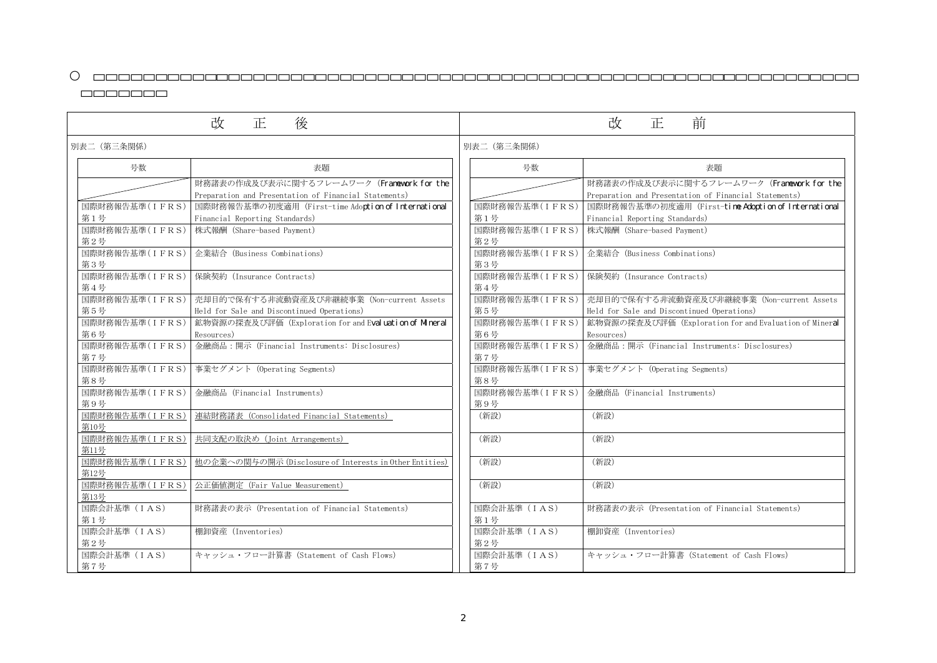| 表題                                                            |
|---------------------------------------------------------------|
| 財務諸表の作成及び表示に関するフレームワーク (Franework for the                     |
| Preparation and Presentation of Financial Statements)         |
| 国際財務報告基準の初度適用(First-tine Adoption of International            |
| Financial Reporting Standards)                                |
| 株式報酬(Share-based Payment)                                     |
| 企業結合 (Business Combinations)                                  |
| 保険契約(Insurance Contracts)                                     |
| 売却目的で保有する非流動資産及び非継続事業 (Non-current Assets                     |
| Held for Sale and Discontinued Operations)                    |
| 鉱物資源の探査及び評価(Exploration for and Evaluation of Miner <b>al</b> |
| Resources)                                                    |
| 金融商品:開示(Financial Instruments: Disclosures)                   |
| 事業セグメント (Operating Segments)                                  |
| 金融商品(Financial Instruments)                                   |
| (新設)                                                          |
| (新設)                                                          |
| (新設)                                                          |
| (新設)                                                          |
| 財務諸表の表示(Presentation of Financial Statements)                 |
| 棚卸資産 (Inventories)                                            |
| キャッシュ・フロー計算書 (Statement of Cash Flows)                        |

| 改<br>後<br>正 |                        | 前<br>改<br>正                                                                                        |  |                       |                                                                                                 |
|-------------|------------------------|----------------------------------------------------------------------------------------------------|--|-----------------------|-------------------------------------------------------------------------------------------------|
|             | 別表二 (第三条関係)            |                                                                                                    |  | 別表二 (第三条関係)           |                                                                                                 |
|             | 号数                     | 表題                                                                                                 |  | 号数                    | 表題                                                                                              |
|             |                        | 財務諸表の作成及び表示に関するフレームワーク (Franework for the<br>Preparation and Presentation of Financial Statements) |  |                       | 財務諸表の作成及び表示に関するフレームワーク (Franework<br>Preparation and Presentation of Financial Statements)      |
|             | 国際財務報告基準(IFRS)<br>第1号  | 国際財務報告基準の初度適用 (First-time Adoption of International<br>Financial Reporting Standards)              |  | 国際財務報告基準(IFRS)<br>第1号 | 国際財務報告基準の初度適用 (First-tine Adoption of Inter<br>Financial Reporting Standards)                   |
|             | 国際財務報告基準(IFRS)<br>第2号  | 株式報酬 (Share-based Payment)                                                                         |  | 国際財務報告基準(IFRS)<br>第2号 | 株式報酬 (Share-based Payment)                                                                      |
|             | 国際財務報告基準(IFRS)<br>第3号  | 企業結合 (Business Combinations)                                                                       |  | 国際財務報告基準(IFRS)<br>第3号 | 企業結合 (Business Combinations)                                                                    |
|             | 国際財務報告基準(IFRS)<br>第4号  | 保険契約 (Insurance Contracts)                                                                         |  | 国際財務報告基準(IFRS)<br>第4号 | 保険契約 (Insurance Contracts)                                                                      |
|             | 国際財務報告基準(IFRS)<br>第5号  | 売却目的で保有する非流動資産及び非継続事業 (Non-current Assets<br>Held for Sale and Discontinued Operations)            |  | 第5号                   | 国際財務報告基準(IFRS) 提却目的で保有する非流動資産及び非継続事業 (Non-current<br>Held for Sale and Discontinued Operations) |
|             | 国際財務報告基準(IFRS)<br>第6号  | 鉱物資源の探査及び評価 (Exploration for and Eval uation of Mineral<br>Resources)                              |  | 国際財務報告基準(IFRS)<br>第6号 | 鉱物資源の探査及び評価 (Exploration for and Evaluation of<br>Resources)                                    |
|             | 国際財務報告基準(IFRS)<br>第7号  | 金融商品:開示 (Financial Instruments: Disclosures)                                                       |  | 国際財務報告基準(IFRS)<br>第7号 | 金融商品:開示 (Financial Instruments: Disclosures)                                                    |
|             | 国際財務報告基準(IFRS)<br>第8号  | 事業セグメント (Operating Segments)                                                                       |  | 国際財務報告基準(IFRS)<br>第8号 | 事業セグメント (Operating Segments)                                                                    |
|             | 国際財務報告基準(IFRS)<br>第9号  | 金融商品 (Financial Instruments)                                                                       |  | 国際財務報告基準(IFRS)<br>第9号 | 金融商品 (Financial Instruments)                                                                    |
|             | 国際財務報告基準(IFRS)<br>第10号 | 連結財務諸表 (Consolidated Financial Statements)                                                         |  | (新設)                  | (新設)                                                                                            |
|             | 国際財務報告基準(IFRS)<br>第11号 | 共同支配の取決め (Joint Arrangements)                                                                      |  | (新設)                  | (新設)                                                                                            |
|             | 第12号                   | 国際財務報告基準(IFRS) 他の企業への関与の開示 (Disclosure of Interests in Other Entities)                             |  | (新設)                  | (新設)                                                                                            |
|             | 国際財務報告基準(IFRS)<br>第13号 | 公正価値測定 (Fair Value Measurement)                                                                    |  | (新設)                  | (新設)                                                                                            |
|             | 国際会計基準 (IAS)<br>第1号    | 財務諸表の表示 (Presentation of Financial Statements)                                                     |  | 国際会計基準 (IAS)<br>第1号   | 財務諸表の表示 (Presentation of Financial Statements)                                                  |
|             | 国際会計基準 (IAS)<br>第2号    | 棚卸資産 (Inventories)                                                                                 |  | 国際会計基準 (IAS)<br>第2号   | 棚卸資産 (Inventories)                                                                              |
|             | 国際会計基準 (IAS)<br>第7号    | キャッシュ・フロー計算書 (Statement of Cash Flows)                                                             |  | 国際会計基準 (IAS)<br>第7号   | キャッシュ・フロー計算書 (Statement of Cash Flows)                                                          |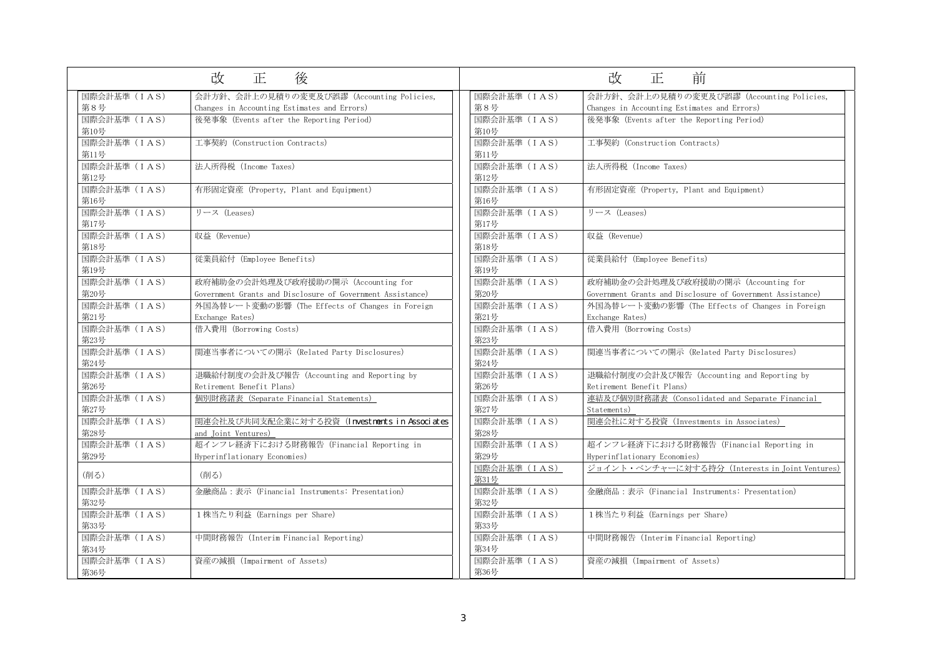| 改<br>後<br>正          |                                                                                                   | 前<br>改<br>正          |                                                                                                   |  |  |
|----------------------|---------------------------------------------------------------------------------------------------|----------------------|---------------------------------------------------------------------------------------------------|--|--|
| 国際会計基準 (IAS)<br>第8号  | 会計方針、会計上の見積りの変更及び誤謬 (Accounting Policies,<br>Changes in Accounting Estimates and Errors)          | 国際会計基準 (IAS)<br>第8号  | 会計方針、会計上の見積りの変更及び誤謬 (Accounting Policies,<br>Changes in Accounting Estimates and Errors)          |  |  |
| 国際会計基準 (IAS)<br>第10号 | 後発事象 (Events after the Reporting Period)                                                          | 国際会計基準 (IAS)<br>第10号 | 後発事象 (Events after the Reporting Period)                                                          |  |  |
| 国際会計基準 (IAS)<br>第11号 | 工事契約 (Construction Contracts)                                                                     | 国際会計基準 (IAS)<br>第11号 | 工事契約 (Construction Contracts)                                                                     |  |  |
| 国際会計基準 (IAS)<br>第12号 | 法人所得税 (Income Taxes)                                                                              | 国際会計基準 (IAS)<br>第12号 | 法人所得税 (Income Taxes)                                                                              |  |  |
| 国際会計基準 (IAS)<br>第16号 | 有形固定資産 (Property, Plant and Equipment)                                                            | 国際会計基準 (IAS)<br>第16号 | 有形固定資産 (Property, Plant and Equipment)                                                            |  |  |
| 国際会計基準 (IAS)<br>第17号 | リース (Leases)                                                                                      | 国際会計基準 (IAS)<br>第17号 | リース (Leases)                                                                                      |  |  |
| 国際会計基準 (IAS)<br>第18号 | 収益 (Revenue)                                                                                      | 国際会計基準 (IAS)<br>第18号 | 収益 (Revenue)                                                                                      |  |  |
| 国際会計基準 (IAS)<br>第19号 | 従業員給付 (Employee Benefits)                                                                         | 国際会計基準 (IAS)<br>第19号 | 従業員給付 (Employee Benefits)                                                                         |  |  |
| 国際会計基準 (IAS)<br>第20号 | 政府補助金の会計処理及び政府援助の開示 (Accounting for<br>Government Grants and Disclosure of Government Assistance) | 国際会計基準 (IAS)<br>第20号 | 政府補助金の会計処理及び政府援助の開示 (Accounting for<br>Government Grants and Disclosure of Government Assistance) |  |  |
| 国際会計基準 (IAS)<br>第21号 | 外国為替レート変動の影響 (The Effects of Changes in Foreign<br>Exchange Rates)                                | 国際会計基準 (IAS)<br>第21号 | 外国為替レート変動の影響 (The Effects of Changes in Foreign<br>Exchange Rates)                                |  |  |
| 国際会計基準 (IAS)<br>第23号 | 借入費用 (Borrowing Costs)                                                                            | 国際会計基準 (IAS)<br>第23号 | 借入費用 (Borrowing Costs)                                                                            |  |  |
| 国際会計基準 (IAS)<br>第24号 | 関連当事者についての開示 (Related Party Disclosures)                                                          | 国際会計基準 (IAS)<br>第24号 | 関連当事者についての開示 (Related Party Disclosures)                                                          |  |  |
| 国際会計基準 (IAS)<br>第26号 | 退職給付制度の会計及び報告 (Accounting and Reporting by<br>Retirement Benefit Plans)                           | 国際会計基準 (IAS)<br>第26号 | 退職給付制度の会計及び報告 (Accounting and Reporting by<br>Retirement Benefit Plans)                           |  |  |
| 国際会計基準 (IAS)<br>第27号 | 個別財務諸表 (Separate Financial Statements)                                                            | 国際会計基準 (IAS)<br>第27号 | 連結及び個別財務諸表 (Consolidated and Separate Financial<br>Statements)                                    |  |  |
| 国際会計基準 (IAS)<br>第28号 | 関連会社及び共同支配企業に対する投資 (Investnents in Associates<br>and Joint Ventures)                              | 国際会計基準 (IAS)<br>第28号 | 関連会社に対する投資(Investments in Associates)                                                             |  |  |
| 国際会計基準 (IAS)<br>第29号 | 超インフレ経済下における財務報告 (Financial Reporting in<br>Hyperinflationary Economies)                          | 国際会計基準 (IAS)<br>第29号 | 超インフレ経済下における財務報告 (Financial Reporting in<br>Hyperinflationary Economies)                          |  |  |
| (削る)                 | (削る)                                                                                              | 国際会計基準 (IAS)<br>第31号 | ジョイント・ベンチャーに対する持分 (Interests in Joint Ventur                                                      |  |  |
| 国際会計基準 (IAS)<br>第32号 | 金融商品:表示 (Financial Instruments: Presentation)                                                     | 国際会計基準 (IAS)<br>第32号 | 金融商品:表示 (Financial Instruments: Presentation)                                                     |  |  |
| 国際会計基準 (IAS)<br>第33号 | 1株当たり利益 (Earnings per Share)                                                                      | 国際会計基準 (IAS)<br>第33号 | 1株当たり利益 (Earnings per Share)                                                                      |  |  |
| 国際会計基準 (IAS)<br>第34号 | 中間財務報告 (Interim Financial Reporting)                                                              | 国際会計基準 (IAS)<br>第34号 | 中間財務報告 (Interim Financial Reporting)                                                              |  |  |
| 国際会計基準 (IAS)<br>第36号 | 資産の減損 (Impairment of Assets)                                                                      | 国際会計基準 (IAS)<br>第36号 | 資産の減損 (Impairment of Assets)                                                                      |  |  |

| 前<br>改<br>正                                                |
|------------------------------------------------------------|
| 会計方針、会計上の見積りの変更及び誤謬(Accounting Policies,                   |
| Changes in Accounting Estimates and Errors)                |
| 後発事象 (Events after the Reporting Period)                   |
|                                                            |
| 工事契約(Construction Contracts)                               |
| 法人所得税(Income Taxes)                                        |
| 有形固定資産(Property, Plant and Equipment)                      |
| リース (Leases)                                               |
| 収益(Revenue)                                                |
| 従業員給付(Employee Benefits)                                   |
| 政府補助金の会計処理及び政府援助の開示(Accounting for                         |
| Government Grants and Disclosure of Government Assistance) |
| 外国為替レート変動の影響(The Effects of Changes in Foreign             |
| Exchange Rates)                                            |
| 借入費用(Borrowing Costs)                                      |
| 関連当事者についての開示(Related Party Disclosures)                    |
| 退職給付制度の会計及び報告(Accounting and Reporting by                  |
| Retirement Benefit Plans)                                  |
| 連結及び個 <u>別財務諸表(Consolidated and Separate Financial</u>     |
| <u>Statements)</u>                                         |
| 関連会社に対する投資 (Investments in Associates)                     |
| 超インフレ経済下における財務報告(Financial Reporting in                    |
| Hyperinflationary Economies)                               |
| <u> ジョイント・ベンチャーに対する持分 (Interests in Joint Ventures)</u>    |
|                                                            |
| 金融商品:表示(Financial Instruments: Presentation)               |
| 1株当たり利益 (Earnings per Share)                               |
| 中間財務報告(Interim Financial Reporting)                        |
| 資産の減損(Impairment of Assets)                                |